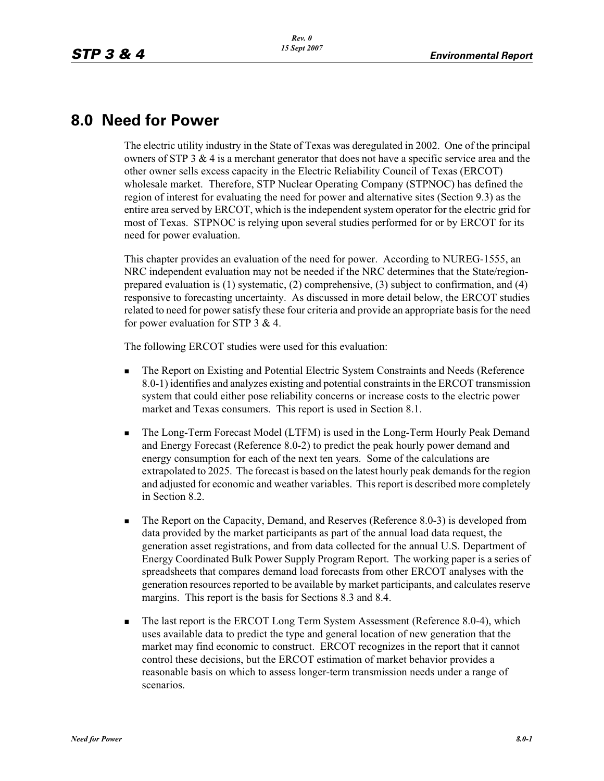## **8.0 Need for Power**

The electric utility industry in the State of Texas was deregulated in 2002. One of the principal owners of STP 3  $\&$  4 is a merchant generator that does not have a specific service area and the other owner sells excess capacity in the Electric Reliability Council of Texas (ERCOT) wholesale market. Therefore, STP Nuclear Operating Company (STPNOC) has defined the region of interest for evaluating the need for power and alternative sites (Section 9.3) as the entire area served by ERCOT, which is the independent system operator for the electric grid for most of Texas. STPNOC is relying upon several studies performed for or by ERCOT for its need for power evaluation.

This chapter provides an evaluation of the need for power. According to NUREG-1555, an NRC independent evaluation may not be needed if the NRC determines that the State/regionprepared evaluation is (1) systematic, (2) comprehensive, (3) subject to confirmation, and (4) responsive to forecasting uncertainty. As discussed in more detail below, the ERCOT studies related to need for power satisfy these four criteria and provide an appropriate basis for the need for power evaluation for STP 3 & 4.

The following ERCOT studies were used for this evaluation:

- - The Report on Existing and Potential Electric System Constraints and Needs (Reference 8.0-1) identifies and analyzes existing and potential constraints in the ERCOT transmission system that could either pose reliability concerns or increase costs to the electric power market and Texas consumers. This report is used in Section 8.1.
- - The Long-Term Forecast Model (LTFM) is used in the Long-Term Hourly Peak Demand and Energy Forecast (Reference 8.0-2) to predict the peak hourly power demand and energy consumption for each of the next ten years. Some of the calculations are extrapolated to 2025. The forecast is based on the latest hourly peak demands for the region and adjusted for economic and weather variables. This report is described more completely in Section 8.2.
- - The Report on the Capacity, Demand, and Reserves (Reference 8.0-3) is developed from data provided by the market participants as part of the annual load data request, the generation asset registrations, and from data collected for the annual U.S. Department of Energy Coordinated Bulk Power Supply Program Report. The working paper is a series of spreadsheets that compares demand load forecasts from other ERCOT analyses with the generation resources reported to be available by market participants, and calculates reserve margins. This report is the basis for Sections 8.3 and 8.4.
- - The last report is the ERCOT Long Term System Assessment (Reference 8.0-4), which uses available data to predict the type and general location of new generation that the market may find economic to construct. ERCOT recognizes in the report that it cannot control these decisions, but the ERCOT estimation of market behavior provides a reasonable basis on which to assess longer-term transmission needs under a range of scenarios.